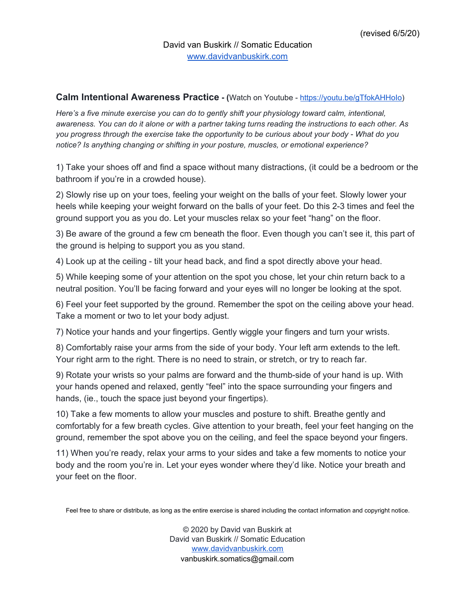## **Calm Intentional Awareness Practice** - (Watch on Youtube - https://youtu.be/gTfokAHHolo)

*Here's a five minute exercise you can do to gently shift your physiology toward calm, intentional,* awareness. You can do it alone or with a partner taking turns reading the instructions to each other. As *you progress through the exercise take the opportunity to be curious about your body - What do you notice? Is anything changing or shifting in your posture, muscles, or emotional experience?*

1) Take your shoes off and find a space without many distractions, (it could be a bedroom or the bathroom if you're in a crowded house).

2) Slowly rise up on your toes, feeling your weight on the balls of your feet. Slowly lower your heels while keeping your weight forward on the balls of your feet. Do this 2-3 times and feel the ground support you as you do. Let your muscles relax so your feet "hang" on the floor.

3) Be aware of the ground a few cm beneath the floor. Even though you can't see it, this part of the ground is helping to support you as you stand.

4) Look up at the ceiling - tilt your head back, and find a spot directly above your head.

5) While keeping some of your attention on the spot you chose, let your chin return back to a neutral position. You'll be facing forward and your eyes will no longer be looking at the spot.

6) Feel your feet supported by the ground. Remember the spot on the ceiling above your head. Take a moment or two to let your body adjust.

7) Notice your hands and your fingertips. Gently wiggle your fingers and turn your wrists.

8) Comfortably raise your arms from the side of your body. Your left arm extends to the left. Your right arm to the right. There is no need to strain, or stretch, or try to reach far.

9) Rotate your wrists so your palms are forward and the thumb-side of your hand is up. With your hands opened and relaxed, gently "feel" into the space surrounding your fingers and hands, (ie., touch the space just beyond your fingertips).

10) Take a few moments to allow your muscles and posture to shift. Breathe gently and comfortably for a few breath cycles. Give attention to your breath, feel your feet hanging on the ground, remember the spot above you on the ceiling, and feel the space beyond your fingers.

11) When you're ready, relax your arms to your sides and take a few moments to notice your body and the room you're in. Let your eyes wonder where they'd like. Notice your breath and your feet on the floor.

Feel free to share or distribute, as long as the entire exercise is shared including the contact information and copyright notice.

© 2020 by David van Buskirk at David van Buskirk // Somatic Education [www.davidvanbuskirk.com](http://www.davidvanbuskirk.com/) vanbuskirk.somatics@gmail.com